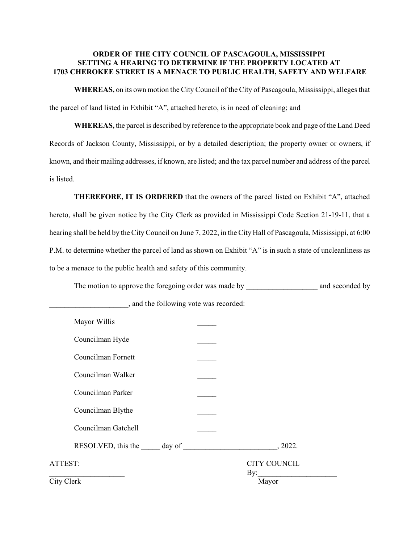## **ORDER OF THE CITY COUNCIL OF PASCAGOULA, MISSISSIPPI SETTING A HEARING TO DETERMINE IF THE PROPERTY LOCATED AT 1703 CHEROKEE STREET IS A MENACE TO PUBLIC HEALTH, SAFETY AND WELFARE**

**WHEREAS,** on its own motion the City Council of the City of Pascagoula, Mississippi, alleges that the parcel of land listed in Exhibit "A", attached hereto, is in need of cleaning; and

**WHEREAS,** the parcel is described by reference to the appropriate book and page of the Land Deed Records of Jackson County, Mississippi, or by a detailed description; the property owner or owners, if known, and their mailing addresses, if known, are listed; and the tax parcel number and address of the parcel is listed.

**THEREFORE, IT IS ORDERED** that the owners of the parcel listed on Exhibit "A", attached hereto, shall be given notice by the City Clerk as provided in Mississippi Code Section 21-19-11, that a hearing shall be held by the City Council on June 7, 2022, in the City Hall of Pascagoula, Mississippi, at 6:00 P.M. to determine whether the parcel of land as shown on Exhibit "A" is in such a state of uncleanliness as to be a menace to the public health and safety of this community.

The motion to approve the foregoing order was made by \_\_\_\_\_\_\_\_\_\_\_\_\_\_\_\_\_\_\_\_\_\_\_\_\_\_ and seconded by

| Mayor Willis        |                            |
|---------------------|----------------------------|
| Councilman Hyde     |                            |
| Councilman Fornett  |                            |
| Councilman Walker   |                            |
| Councilman Parker   |                            |
| Councilman Blythe   |                            |
| Councilman Gatchell |                            |
|                     | , 2022.                    |
| ATTEST:             | <b>CITY COUNCIL</b><br>By: |
| City Clerk          | Mayor                      |

\_\_\_\_\_\_\_\_\_\_\_\_\_\_\_\_\_\_\_\_\_, and the following vote was recorded: